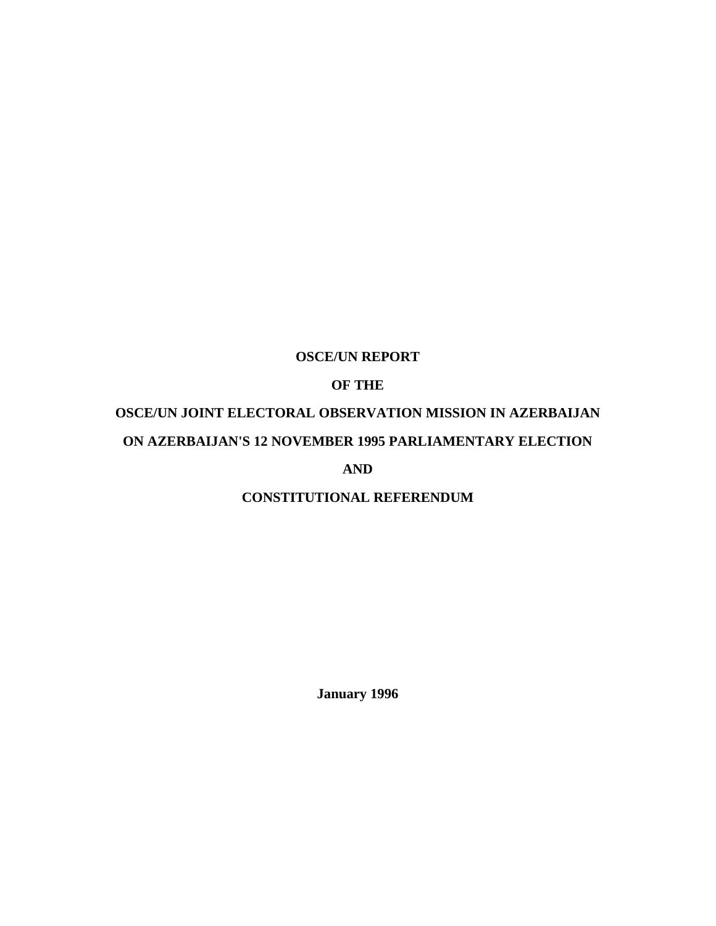# **OSCE/UN REPORT**

# **OF THE**

# **OSCE/UN JOINT ELECTORAL OBSERVATION MISSION IN AZERBAIJAN ON AZERBAIJAN'S 12 NOVEMBER 1995 PARLIAMENTARY ELECTION**

**AND**

# **CONSTITUTIONAL REFERENDUM**

**January 1996**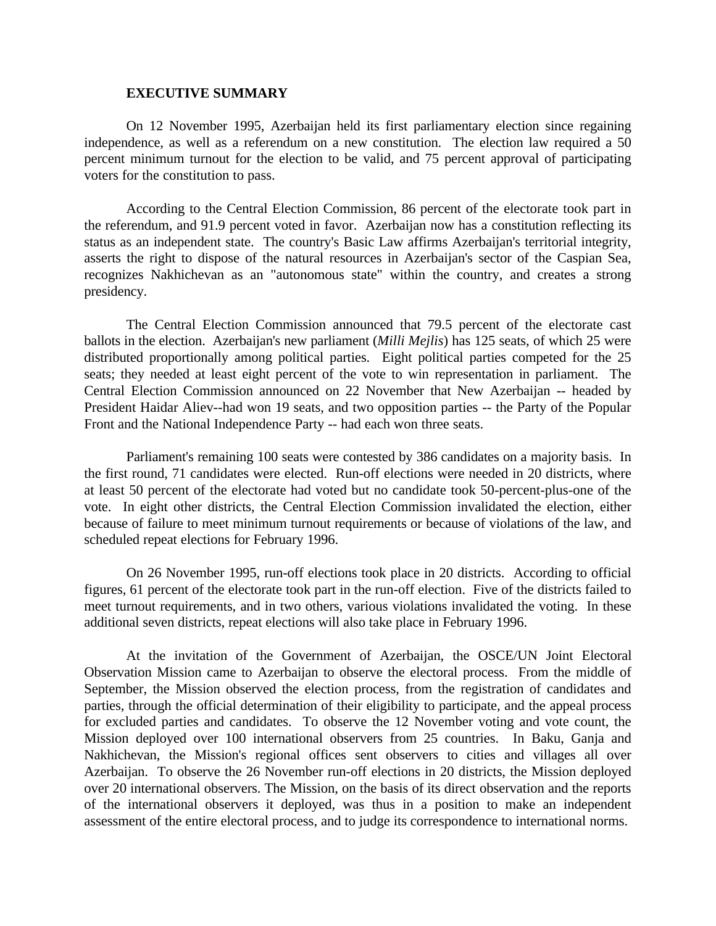#### **EXECUTIVE SUMMARY**

On 12 November 1995, Azerbaijan held its first parliamentary election since regaining independence, as well as a referendum on a new constitution. The election law required a 50 percent minimum turnout for the election to be valid, and 75 percent approval of participating voters for the constitution to pass.

According to the Central Election Commission, 86 percent of the electorate took part in the referendum, and 91.9 percent voted in favor. Azerbaijan now has a constitution reflecting its status as an independent state. The country's Basic Law affirms Azerbaijan's territorial integrity, asserts the right to dispose of the natural resources in Azerbaijan's sector of the Caspian Sea, recognizes Nakhichevan as an "autonomous state" within the country, and creates a strong presidency.

The Central Election Commission announced that 79.5 percent of the electorate cast ballots in the election. Azerbaijan's new parliament (*Milli Mejlis*) has 125 seats, of which 25 were distributed proportionally among political parties. Eight political parties competed for the 25 seats; they needed at least eight percent of the vote to win representation in parliament. The Central Election Commission announced on 22 November that New Azerbaijan -- headed by President Haidar Aliev--had won 19 seats, and two opposition parties -- the Party of the Popular Front and the National Independence Party -- had each won three seats.

Parliament's remaining 100 seats were contested by 386 candidates on a majority basis. In the first round, 71 candidates were elected. Run-off elections were needed in 20 districts, where at least 50 percent of the electorate had voted but no candidate took 50-percent-plus-one of the vote. In eight other districts, the Central Election Commission invalidated the election, either because of failure to meet minimum turnout requirements or because of violations of the law, and scheduled repeat elections for February 1996.

On 26 November 1995, run-off elections took place in 20 districts. According to official figures, 61 percent of the electorate took part in the run-off election. Five of the districts failed to meet turnout requirements, and in two others, various violations invalidated the voting. In these additional seven districts, repeat elections will also take place in February 1996.

At the invitation of the Government of Azerbaijan, the OSCE/UN Joint Electoral Observation Mission came to Azerbaijan to observe the electoral process. From the middle of September, the Mission observed the election process, from the registration of candidates and parties, through the official determination of their eligibility to participate, and the appeal process for excluded parties and candidates. To observe the 12 November voting and vote count, the Mission deployed over 100 international observers from 25 countries. In Baku, Ganja and Nakhichevan, the Mission's regional offices sent observers to cities and villages all over Azerbaijan. To observe the 26 November run-off elections in 20 districts, the Mission deployed over 20 international observers. The Mission, on the basis of its direct observation and the reports of the international observers it deployed, was thus in a position to make an independent assessment of the entire electoral process, and to judge its correspondence to international norms.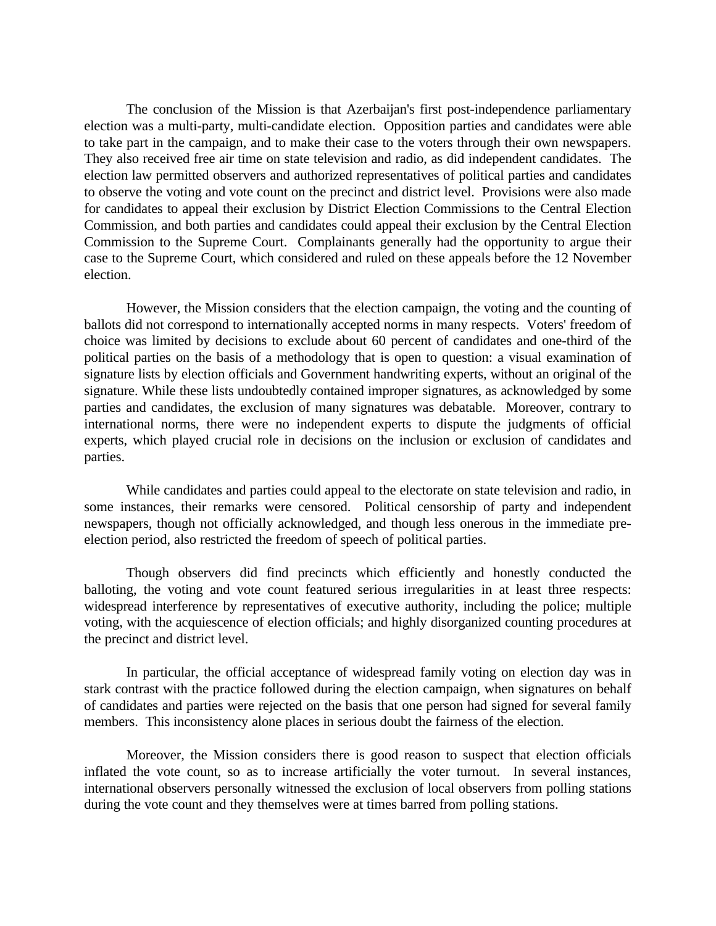The conclusion of the Mission is that Azerbaijan's first post-independence parliamentary election was a multi-party, multi-candidate election. Opposition parties and candidates were able to take part in the campaign, and to make their case to the voters through their own newspapers. They also received free air time on state television and radio, as did independent candidates. The election law permitted observers and authorized representatives of political parties and candidates to observe the voting and vote count on the precinct and district level. Provisions were also made for candidates to appeal their exclusion by District Election Commissions to the Central Election Commission, and both parties and candidates could appeal their exclusion by the Central Election Commission to the Supreme Court. Complainants generally had the opportunity to argue their case to the Supreme Court, which considered and ruled on these appeals before the 12 November election.

However, the Mission considers that the election campaign, the voting and the counting of ballots did not correspond to internationally accepted norms in many respects. Voters' freedom of choice was limited by decisions to exclude about 60 percent of candidates and one-third of the political parties on the basis of a methodology that is open to question: a visual examination of signature lists by election officials and Government handwriting experts, without an original of the signature. While these lists undoubtedly contained improper signatures, as acknowledged by some parties and candidates, the exclusion of many signatures was debatable. Moreover, contrary to international norms, there were no independent experts to dispute the judgments of official experts, which played crucial role in decisions on the inclusion or exclusion of candidates and parties.

While candidates and parties could appeal to the electorate on state television and radio, in some instances, their remarks were censored. Political censorship of party and independent newspapers, though not officially acknowledged, and though less onerous in the immediate preelection period, also restricted the freedom of speech of political parties.

Though observers did find precincts which efficiently and honestly conducted the balloting, the voting and vote count featured serious irregularities in at least three respects: widespread interference by representatives of executive authority, including the police; multiple voting, with the acquiescence of election officials; and highly disorganized counting procedures at the precinct and district level.

In particular, the official acceptance of widespread family voting on election day was in stark contrast with the practice followed during the election campaign, when signatures on behalf of candidates and parties were rejected on the basis that one person had signed for several family members. This inconsistency alone places in serious doubt the fairness of the election.

Moreover, the Mission considers there is good reason to suspect that election officials inflated the vote count, so as to increase artificially the voter turnout. In several instances, international observers personally witnessed the exclusion of local observers from polling stations during the vote count and they themselves were at times barred from polling stations.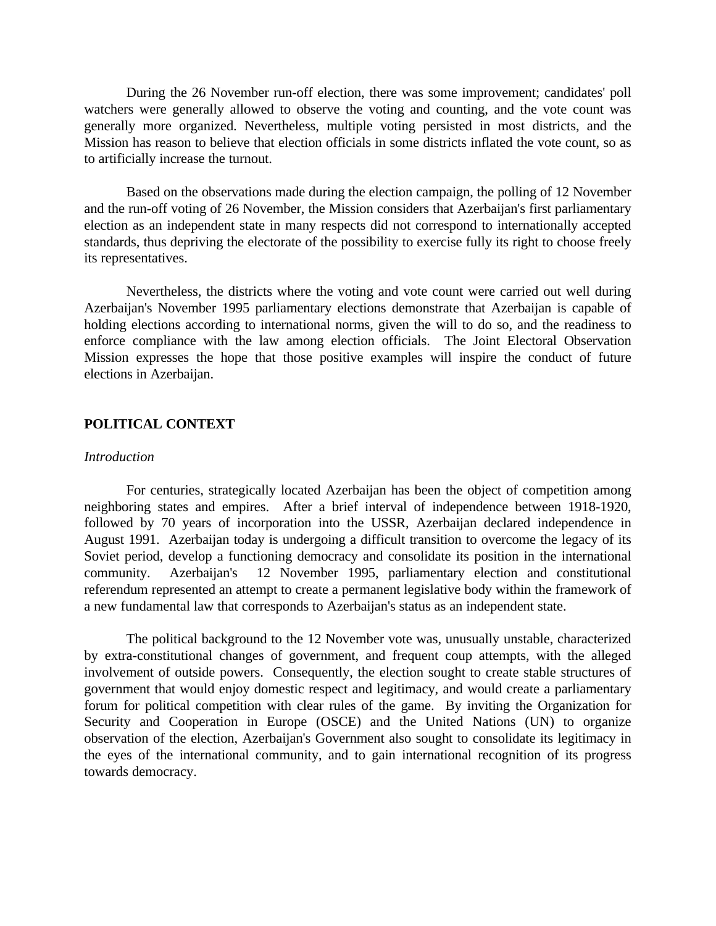During the 26 November run-off election, there was some improvement; candidates' poll watchers were generally allowed to observe the voting and counting, and the vote count was generally more organized. Nevertheless, multiple voting persisted in most districts, and the Mission has reason to believe that election officials in some districts inflated the vote count, so as to artificially increase the turnout.

Based on the observations made during the election campaign, the polling of 12 November and the run-off voting of 26 November, the Mission considers that Azerbaijan's first parliamentary election as an independent state in many respects did not correspond to internationally accepted standards, thus depriving the electorate of the possibility to exercise fully its right to choose freely its representatives.

Nevertheless, the districts where the voting and vote count were carried out well during Azerbaijan's November 1995 parliamentary elections demonstrate that Azerbaijan is capable of holding elections according to international norms, given the will to do so, and the readiness to enforce compliance with the law among election officials. The Joint Electoral Observation Mission expresses the hope that those positive examples will inspire the conduct of future elections in Azerbaijan.

# **POLITICAL CONTEXT**

#### *Introduction*

For centuries, strategically located Azerbaijan has been the object of competition among neighboring states and empires. After a brief interval of independence between 1918-1920, followed by 70 years of incorporation into the USSR, Azerbaijan declared independence in August 1991. Azerbaijan today is undergoing a difficult transition to overcome the legacy of its Soviet period, develop a functioning democracy and consolidate its position in the international community. Azerbaijan's 12 November 1995, parliamentary election and constitutional referendum represented an attempt to create a permanent legislative body within the framework of a new fundamental law that corresponds to Azerbaijan's status as an independent state.

The political background to the 12 November vote was, unusually unstable, characterized by extra-constitutional changes of government, and frequent coup attempts, with the alleged involvement of outside powers. Consequently, the election sought to create stable structures of government that would enjoy domestic respect and legitimacy, and would create a parliamentary forum for political competition with clear rules of the game. By inviting the Organization for Security and Cooperation in Europe (OSCE) and the United Nations (UN) to organize observation of the election, Azerbaijan's Government also sought to consolidate its legitimacy in the eyes of the international community, and to gain international recognition of its progress towards democracy.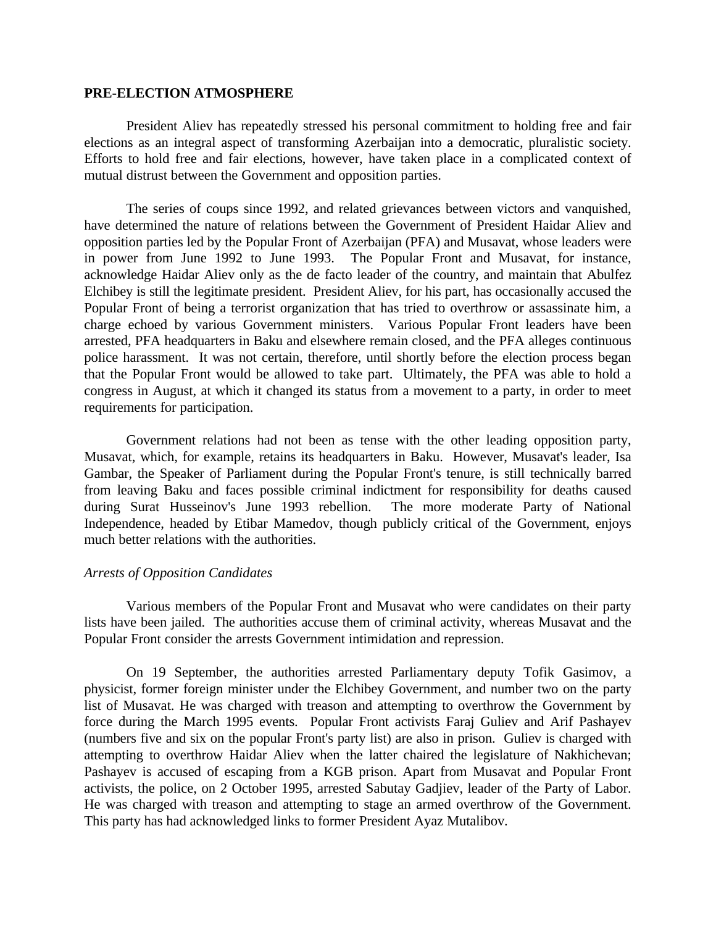# **PRE-ELECTION ATMOSPHERE**

President Aliev has repeatedly stressed his personal commitment to holding free and fair elections as an integral aspect of transforming Azerbaijan into a democratic, pluralistic society. Efforts to hold free and fair elections, however, have taken place in a complicated context of mutual distrust between the Government and opposition parties.

The series of coups since 1992, and related grievances between victors and vanquished, have determined the nature of relations between the Government of President Haidar Aliev and opposition parties led by the Popular Front of Azerbaijan (PFA) and Musavat, whose leaders were in power from June 1992 to June 1993. The Popular Front and Musavat, for instance, acknowledge Haidar Aliev only as the de facto leader of the country, and maintain that Abulfez Elchibey is still the legitimate president. President Aliev, for his part, has occasionally accused the Popular Front of being a terrorist organization that has tried to overthrow or assassinate him, a charge echoed by various Government ministers. Various Popular Front leaders have been arrested, PFA headquarters in Baku and elsewhere remain closed, and the PFA alleges continuous police harassment. It was not certain, therefore, until shortly before the election process began that the Popular Front would be allowed to take part. Ultimately, the PFA was able to hold a congress in August, at which it changed its status from a movement to a party, in order to meet requirements for participation.

Government relations had not been as tense with the other leading opposition party, Musavat, which, for example, retains its headquarters in Baku. However, Musavat's leader, Isa Gambar, the Speaker of Parliament during the Popular Front's tenure, is still technically barred from leaving Baku and faces possible criminal indictment for responsibility for deaths caused during Surat Husseinov's June 1993 rebellion. The more moderate Party of National Independence, headed by Etibar Mamedov, though publicly critical of the Government, enjoys much better relations with the authorities.

#### *Arrests of Opposition Candidates*

Various members of the Popular Front and Musavat who were candidates on their party lists have been jailed. The authorities accuse them of criminal activity, whereas Musavat and the Popular Front consider the arrests Government intimidation and repression.

On 19 September, the authorities arrested Parliamentary deputy Tofik Gasimov, a physicist, former foreign minister under the Elchibey Government, and number two on the party list of Musavat. He was charged with treason and attempting to overthrow the Government by force during the March 1995 events. Popular Front activists Faraj Guliev and Arif Pashayev (numbers five and six on the popular Front's party list) are also in prison. Guliev is charged with attempting to overthrow Haidar Aliev when the latter chaired the legislature of Nakhichevan; Pashayev is accused of escaping from a KGB prison. Apart from Musavat and Popular Front activists, the police, on 2 October 1995, arrested Sabutay Gadjiev, leader of the Party of Labor. He was charged with treason and attempting to stage an armed overthrow of the Government. This party has had acknowledged links to former President Ayaz Mutalibov.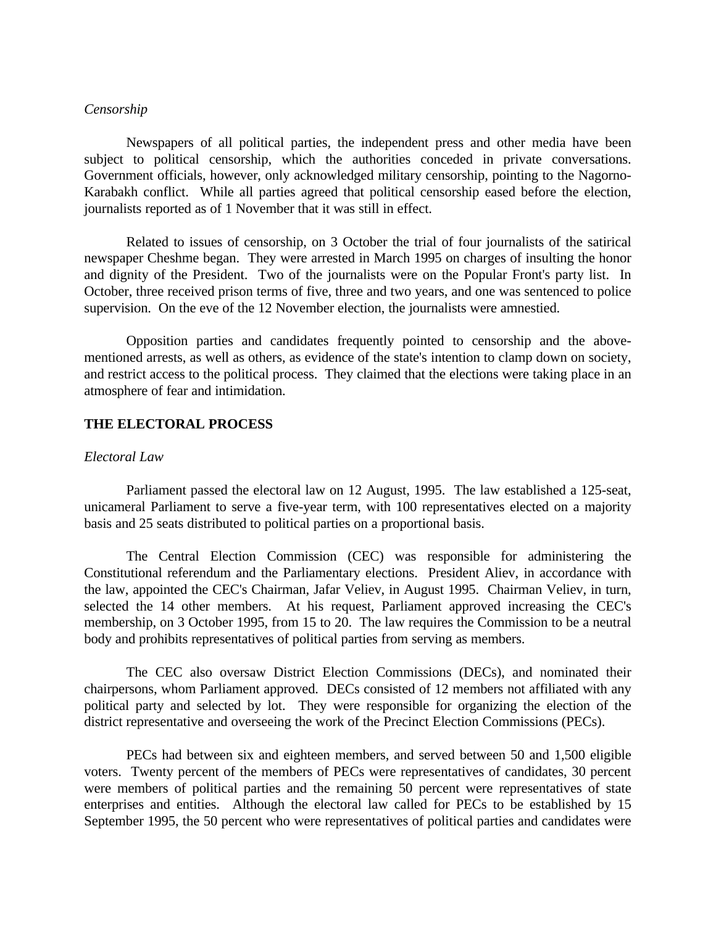# *Censorship*

 Newspapers of all political parties, the independent press and other media have been subject to political censorship, which the authorities conceded in private conversations. Government officials, however, only acknowledged military censorship, pointing to the Nagorno-Karabakh conflict. While all parties agreed that political censorship eased before the election, journalists reported as of 1 November that it was still in effect.

 Related to issues of censorship, on 3 October the trial of four journalists of the satirical newspaper Cheshme began. They were arrested in March 1995 on charges of insulting the honor and dignity of the President. Two of the journalists were on the Popular Front's party list. In October, three received prison terms of five, three and two years, and one was sentenced to police supervision. On the eve of the 12 November election, the journalists were amnestied.

 Opposition parties and candidates frequently pointed to censorship and the abovementioned arrests, as well as others, as evidence of the state's intention to clamp down on society, and restrict access to the political process. They claimed that the elections were taking place in an atmosphere of fear and intimidation.

# **THE ELECTORAL PROCESS**

# *Electoral Law*

Parliament passed the electoral law on 12 August, 1995. The law established a 125-seat, unicameral Parliament to serve a five-year term, with 100 representatives elected on a majority basis and 25 seats distributed to political parties on a proportional basis.

 The Central Election Commission (CEC) was responsible for administering the Constitutional referendum and the Parliamentary elections. President Aliev, in accordance with the law, appointed the CEC's Chairman, Jafar Veliev, in August 1995. Chairman Veliev, in turn, selected the 14 other members. At his request, Parliament approved increasing the CEC's membership, on 3 October 1995, from 15 to 20. The law requires the Commission to be a neutral body and prohibits representatives of political parties from serving as members.

The CEC also oversaw District Election Commissions (DECs), and nominated their chairpersons, whom Parliament approved. DECs consisted of 12 members not affiliated with any political party and selected by lot. They were responsible for organizing the election of the district representative and overseeing the work of the Precinct Election Commissions (PECs).

 PECs had between six and eighteen members, and served between 50 and 1,500 eligible voters. Twenty percent of the members of PECs were representatives of candidates, 30 percent were members of political parties and the remaining 50 percent were representatives of state enterprises and entities. Although the electoral law called for PECs to be established by 15 September 1995, the 50 percent who were representatives of political parties and candidates were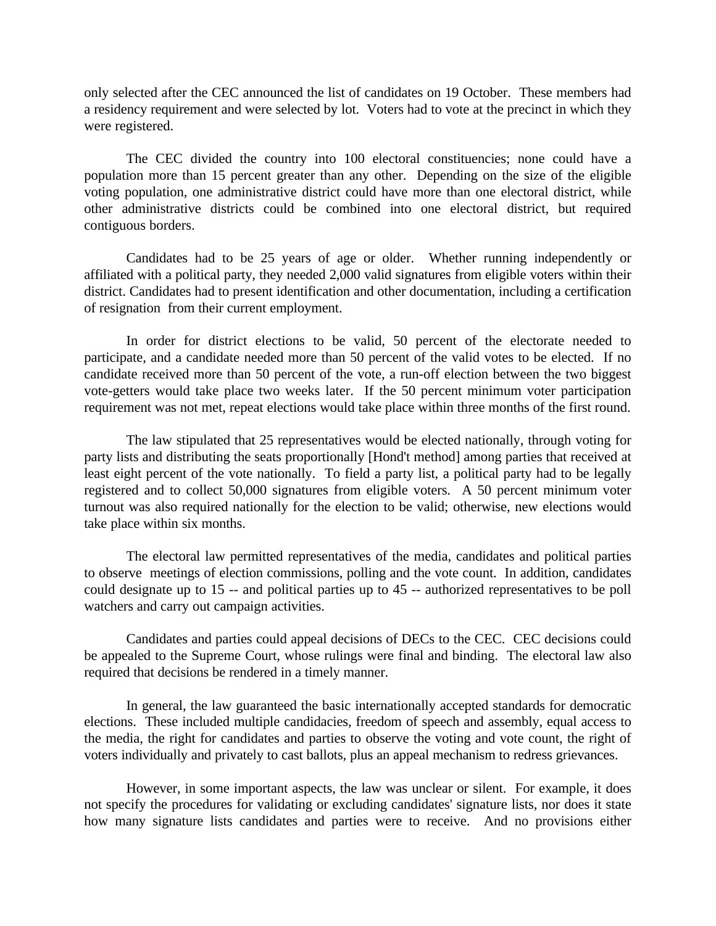only selected after the CEC announced the list of candidates on 19 October. These members had a residency requirement and were selected by lot. Voters had to vote at the precinct in which they were registered.

 The CEC divided the country into 100 electoral constituencies; none could have a population more than 15 percent greater than any other. Depending on the size of the eligible voting population, one administrative district could have more than one electoral district, while other administrative districts could be combined into one electoral district, but required contiguous borders.

 Candidates had to be 25 years of age or older. Whether running independently or affiliated with a political party, they needed 2,000 valid signatures from eligible voters within their district. Candidates had to present identification and other documentation, including a certification of resignation from their current employment.

 In order for district elections to be valid, 50 percent of the electorate needed to participate, and a candidate needed more than 50 percent of the valid votes to be elected. If no candidate received more than 50 percent of the vote, a run-off election between the two biggest vote-getters would take place two weeks later. If the 50 percent minimum voter participation requirement was not met, repeat elections would take place within three months of the first round.

 The law stipulated that 25 representatives would be elected nationally, through voting for party lists and distributing the seats proportionally [Hond't method] among parties that received at least eight percent of the vote nationally. To field a party list, a political party had to be legally registered and to collect 50,000 signatures from eligible voters. A 50 percent minimum voter turnout was also required nationally for the election to be valid; otherwise, new elections would take place within six months.

 The electoral law permitted representatives of the media, candidates and political parties to observe meetings of election commissions, polling and the vote count. In addition, candidates could designate up to 15 -- and political parties up to 45 -- authorized representatives to be poll watchers and carry out campaign activities.

 Candidates and parties could appeal decisions of DECs to the CEC. CEC decisions could be appealed to the Supreme Court, whose rulings were final and binding. The electoral law also required that decisions be rendered in a timely manner.

 In general, the law guaranteed the basic internationally accepted standards for democratic elections. These included multiple candidacies, freedom of speech and assembly, equal access to the media, the right for candidates and parties to observe the voting and vote count, the right of voters individually and privately to cast ballots, plus an appeal mechanism to redress grievances.

 However, in some important aspects, the law was unclear or silent. For example, it does not specify the procedures for validating or excluding candidates' signature lists, nor does it state how many signature lists candidates and parties were to receive. And no provisions either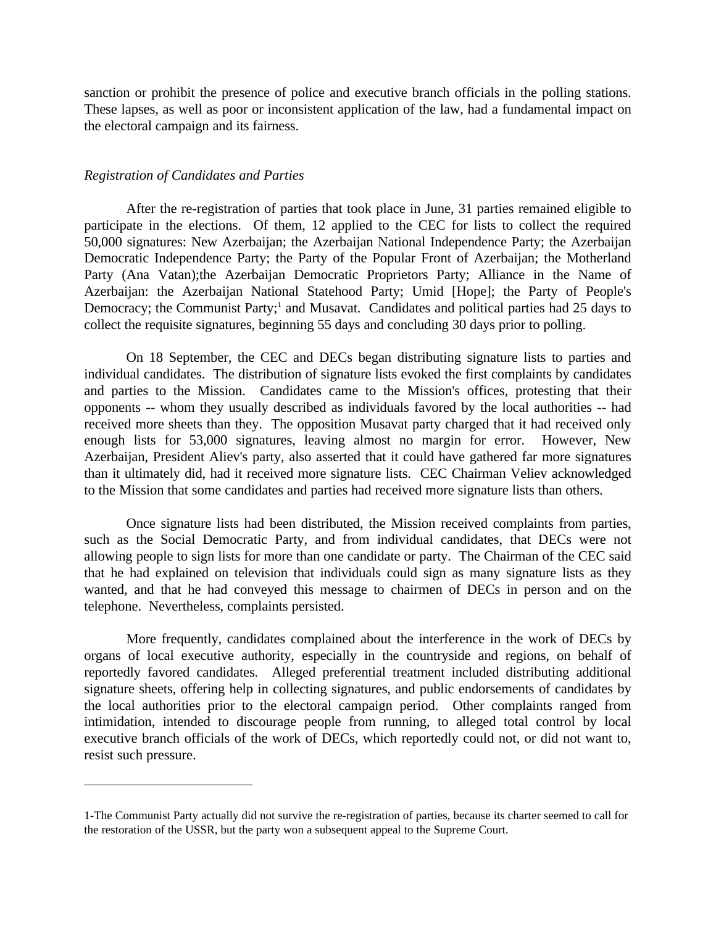sanction or prohibit the presence of police and executive branch officials in the polling stations. These lapses, as well as poor or inconsistent application of the law, had a fundamental impact on the electoral campaign and its fairness.

#### *Registration of Candidates and Parties*

 $\overline{a}$ 

After the re-registration of parties that took place in June, 31 parties remained eligible to participate in the elections. Of them, 12 applied to the CEC for lists to collect the required 50,000 signatures: New Azerbaijan; the Azerbaijan National Independence Party; the Azerbaijan Democratic Independence Party; the Party of the Popular Front of Azerbaijan; the Motherland Party (Ana Vatan);the Azerbaijan Democratic Proprietors Party; Alliance in the Name of Azerbaijan: the Azerbaijan National Statehood Party; Umid [Hope]; the Party of People's Democracy; the Communist Party;<sup>1</sup> and Musavat. Candidates and political parties had 25 days to collect the requisite signatures, beginning 55 days and concluding 30 days prior to polling.

 On 18 September, the CEC and DECs began distributing signature lists to parties and individual candidates. The distribution of signature lists evoked the first complaints by candidates and parties to the Mission. Candidates came to the Mission's offices, protesting that their opponents -- whom they usually described as individuals favored by the local authorities -- had received more sheets than they. The opposition Musavat party charged that it had received only enough lists for 53,000 signatures, leaving almost no margin for error. However, New Azerbaijan, President Aliev's party, also asserted that it could have gathered far more signatures than it ultimately did, had it received more signature lists. CEC Chairman Veliev acknowledged to the Mission that some candidates and parties had received more signature lists than others.

 Once signature lists had been distributed, the Mission received complaints from parties, such as the Social Democratic Party, and from individual candidates, that DECs were not allowing people to sign lists for more than one candidate or party. The Chairman of the CEC said that he had explained on television that individuals could sign as many signature lists as they wanted, and that he had conveyed this message to chairmen of DECs in person and on the telephone. Nevertheless, complaints persisted.

 More frequently, candidates complained about the interference in the work of DECs by organs of local executive authority, especially in the countryside and regions, on behalf of reportedly favored candidates. Alleged preferential treatment included distributing additional signature sheets, offering help in collecting signatures, and public endorsements of candidates by the local authorities prior to the electoral campaign period. Other complaints ranged from intimidation, intended to discourage people from running, to alleged total control by local executive branch officials of the work of DECs, which reportedly could not, or did not want to, resist such pressure.

<sup>1-</sup>The Communist Party actually did not survive the re-registration of parties, because its charter seemed to call for the restoration of the USSR, but the party won a subsequent appeal to the Supreme Court.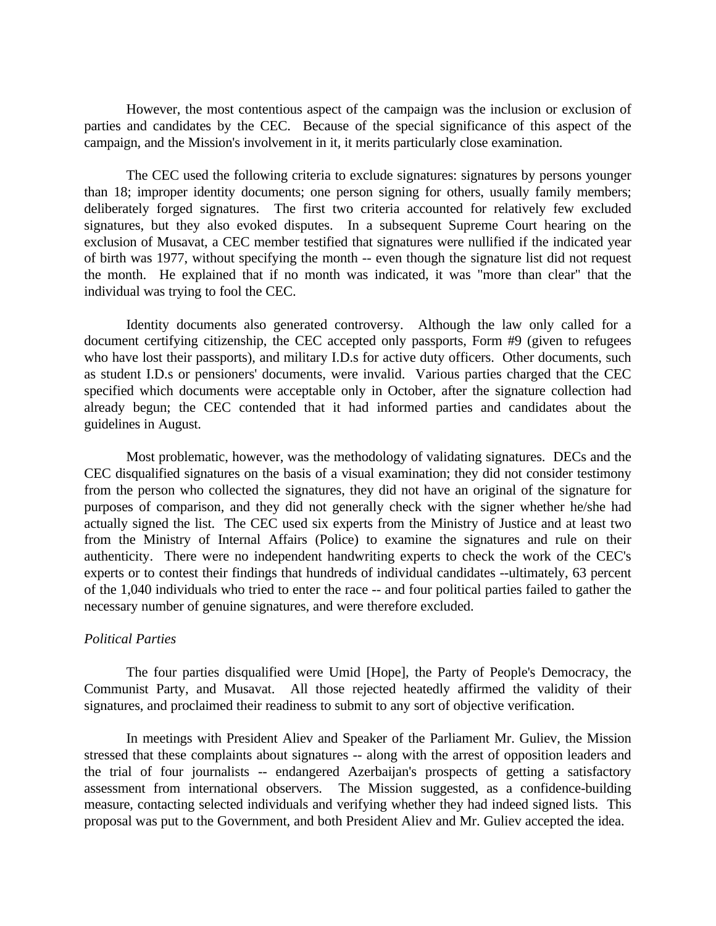However, the most contentious aspect of the campaign was the inclusion or exclusion of parties and candidates by the CEC. Because of the special significance of this aspect of the campaign, and the Mission's involvement in it, it merits particularly close examination.

 The CEC used the following criteria to exclude signatures: signatures by persons younger than 18; improper identity documents; one person signing for others, usually family members; deliberately forged signatures. The first two criteria accounted for relatively few excluded signatures, but they also evoked disputes. In a subsequent Supreme Court hearing on the exclusion of Musavat, a CEC member testified that signatures were nullified if the indicated year of birth was 1977, without specifying the month -- even though the signature list did not request the month. He explained that if no month was indicated, it was "more than clear" that the individual was trying to fool the CEC.

 Identity documents also generated controversy. Although the law only called for a document certifying citizenship, the CEC accepted only passports, Form #9 (given to refugees who have lost their passports), and military I.D.s for active duty officers. Other documents, such as student I.D.s or pensioners' documents, were invalid. Various parties charged that the CEC specified which documents were acceptable only in October, after the signature collection had already begun; the CEC contended that it had informed parties and candidates about the guidelines in August.

 Most problematic, however, was the methodology of validating signatures. DECs and the CEC disqualified signatures on the basis of a visual examination; they did not consider testimony from the person who collected the signatures, they did not have an original of the signature for purposes of comparison, and they did not generally check with the signer whether he/she had actually signed the list. The CEC used six experts from the Ministry of Justice and at least two from the Ministry of Internal Affairs (Police) to examine the signatures and rule on their authenticity. There were no independent handwriting experts to check the work of the CEC's experts or to contest their findings that hundreds of individual candidates --ultimately, 63 percent of the 1,040 individuals who tried to enter the race -- and four political parties failed to gather the necessary number of genuine signatures, and were therefore excluded.

#### *Political Parties*

 The four parties disqualified were Umid [Hope], the Party of People's Democracy, the Communist Party, and Musavat. All those rejected heatedly affirmed the validity of their signatures, and proclaimed their readiness to submit to any sort of objective verification.

 In meetings with President Aliev and Speaker of the Parliament Mr. Guliev, the Mission stressed that these complaints about signatures -- along with the arrest of opposition leaders and the trial of four journalists -- endangered Azerbaijan's prospects of getting a satisfactory assessment from international observers. The Mission suggested, as a confidence-building measure, contacting selected individuals and verifying whether they had indeed signed lists. This proposal was put to the Government, and both President Aliev and Mr. Guliev accepted the idea.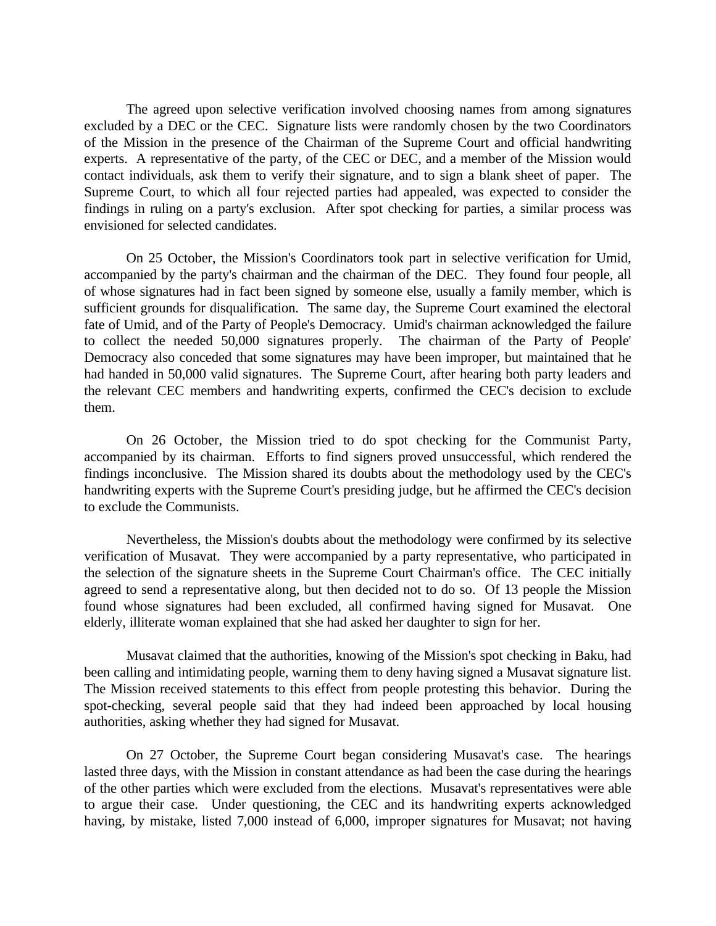The agreed upon selective verification involved choosing names from among signatures excluded by a DEC or the CEC. Signature lists were randomly chosen by the two Coordinators of the Mission in the presence of the Chairman of the Supreme Court and official handwriting experts. A representative of the party, of the CEC or DEC, and a member of the Mission would contact individuals, ask them to verify their signature, and to sign a blank sheet of paper. The Supreme Court, to which all four rejected parties had appealed, was expected to consider the findings in ruling on a party's exclusion. After spot checking for parties, a similar process was envisioned for selected candidates.

 On 25 October, the Mission's Coordinators took part in selective verification for Umid, accompanied by the party's chairman and the chairman of the DEC. They found four people, all of whose signatures had in fact been signed by someone else, usually a family member, which is sufficient grounds for disqualification. The same day, the Supreme Court examined the electoral fate of Umid, and of the Party of People's Democracy. Umid's chairman acknowledged the failure to collect the needed 50,000 signatures properly. The chairman of the Party of People' Democracy also conceded that some signatures may have been improper, but maintained that he had handed in 50,000 valid signatures. The Supreme Court, after hearing both party leaders and the relevant CEC members and handwriting experts, confirmed the CEC's decision to exclude them.

 On 26 October, the Mission tried to do spot checking for the Communist Party, accompanied by its chairman. Efforts to find signers proved unsuccessful, which rendered the findings inconclusive. The Mission shared its doubts about the methodology used by the CEC's handwriting experts with the Supreme Court's presiding judge, but he affirmed the CEC's decision to exclude the Communists.

 Nevertheless, the Mission's doubts about the methodology were confirmed by its selective verification of Musavat. They were accompanied by a party representative, who participated in the selection of the signature sheets in the Supreme Court Chairman's office. The CEC initially agreed to send a representative along, but then decided not to do so. Of 13 people the Mission found whose signatures had been excluded, all confirmed having signed for Musavat. One elderly, illiterate woman explained that she had asked her daughter to sign for her.

 Musavat claimed that the authorities, knowing of the Mission's spot checking in Baku, had been calling and intimidating people, warning them to deny having signed a Musavat signature list. The Mission received statements to this effect from people protesting this behavior. During the spot-checking, several people said that they had indeed been approached by local housing authorities, asking whether they had signed for Musavat.

 On 27 October, the Supreme Court began considering Musavat's case. The hearings lasted three days, with the Mission in constant attendance as had been the case during the hearings of the other parties which were excluded from the elections. Musavat's representatives were able to argue their case. Under questioning, the CEC and its handwriting experts acknowledged having, by mistake, listed 7,000 instead of 6,000, improper signatures for Musavat; not having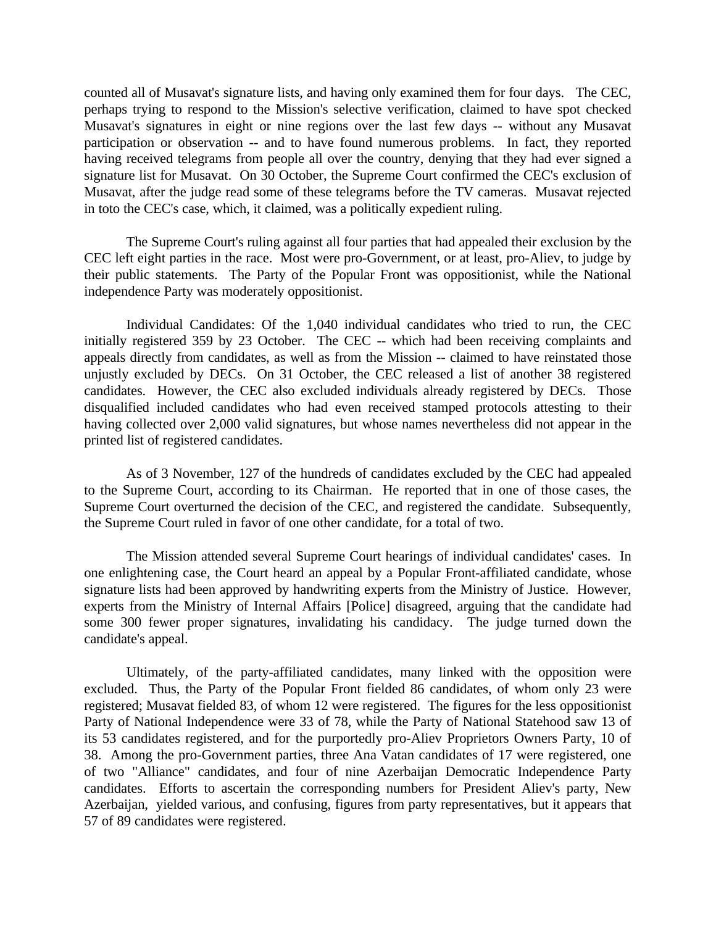counted all of Musavat's signature lists, and having only examined them for four days. The CEC, perhaps trying to respond to the Mission's selective verification, claimed to have spot checked Musavat's signatures in eight or nine regions over the last few days -- without any Musavat participation or observation -- and to have found numerous problems. In fact, they reported having received telegrams from people all over the country, denying that they had ever signed a signature list for Musavat. On 30 October, the Supreme Court confirmed the CEC's exclusion of Musavat, after the judge read some of these telegrams before the TV cameras. Musavat rejected in toto the CEC's case, which, it claimed, was a politically expedient ruling.

The Supreme Court's ruling against all four parties that had appealed their exclusion by the CEC left eight parties in the race. Most were pro-Government, or at least, pro-Aliev, to judge by their public statements. The Party of the Popular Front was oppositionist, while the National independence Party was moderately oppositionist.

Individual Candidates: Of the 1,040 individual candidates who tried to run, the CEC initially registered 359 by 23 October. The CEC -- which had been receiving complaints and appeals directly from candidates, as well as from the Mission -- claimed to have reinstated those unjustly excluded by DECs. On 31 October, the CEC released a list of another 38 registered candidates. However, the CEC also excluded individuals already registered by DECs. Those disqualified included candidates who had even received stamped protocols attesting to their having collected over 2,000 valid signatures, but whose names nevertheless did not appear in the printed list of registered candidates.

As of 3 November, 127 of the hundreds of candidates excluded by the CEC had appealed to the Supreme Court, according to its Chairman. He reported that in one of those cases, the Supreme Court overturned the decision of the CEC, and registered the candidate. Subsequently, the Supreme Court ruled in favor of one other candidate, for a total of two.

The Mission attended several Supreme Court hearings of individual candidates' cases. In one enlightening case, the Court heard an appeal by a Popular Front-affiliated candidate, whose signature lists had been approved by handwriting experts from the Ministry of Justice. However, experts from the Ministry of Internal Affairs [Police] disagreed, arguing that the candidate had some 300 fewer proper signatures, invalidating his candidacy. The judge turned down the candidate's appeal.

Ultimately, of the party-affiliated candidates, many linked with the opposition were excluded. Thus, the Party of the Popular Front fielded 86 candidates, of whom only 23 were registered; Musavat fielded 83, of whom 12 were registered. The figures for the less oppositionist Party of National Independence were 33 of 78, while the Party of National Statehood saw 13 of its 53 candidates registered, and for the purportedly pro-Aliev Proprietors Owners Party, 10 of 38. Among the pro-Government parties, three Ana Vatan candidates of 17 were registered, one of two "Alliance" candidates, and four of nine Azerbaijan Democratic Independence Party candidates. Efforts to ascertain the corresponding numbers for President Aliev's party, New Azerbaijan, yielded various, and confusing, figures from party representatives, but it appears that 57 of 89 candidates were registered.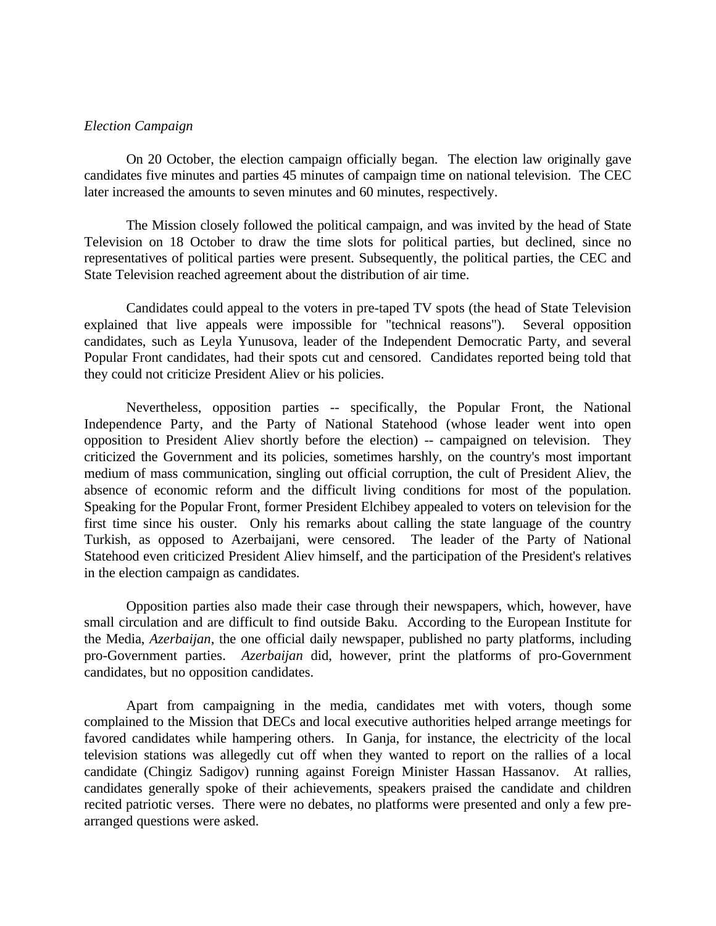#### *Election Campaign*

On 20 October, the election campaign officially began. The election law originally gave candidates five minutes and parties 45 minutes of campaign time on national television. The CEC later increased the amounts to seven minutes and 60 minutes, respectively.

The Mission closely followed the political campaign, and was invited by the head of State Television on 18 October to draw the time slots for political parties, but declined, since no representatives of political parties were present. Subsequently, the political parties, the CEC and State Television reached agreement about the distribution of air time.

Candidates could appeal to the voters in pre-taped TV spots (the head of State Television explained that live appeals were impossible for "technical reasons"). Several opposition candidates, such as Leyla Yunusova, leader of the Independent Democratic Party, and several Popular Front candidates, had their spots cut and censored. Candidates reported being told that they could not criticize President Aliev or his policies.

Nevertheless, opposition parties -- specifically, the Popular Front, the National Independence Party, and the Party of National Statehood (whose leader went into open opposition to President Aliev shortly before the election) -- campaigned on television. They criticized the Government and its policies, sometimes harshly, on the country's most important medium of mass communication, singling out official corruption, the cult of President Aliev, the absence of economic reform and the difficult living conditions for most of the population. Speaking for the Popular Front, former President Elchibey appealed to voters on television for the first time since his ouster. Only his remarks about calling the state language of the country Turkish, as opposed to Azerbaijani, were censored. The leader of the Party of National Statehood even criticized President Aliev himself, and the participation of the President's relatives in the election campaign as candidates.

Opposition parties also made their case through their newspapers, which, however, have small circulation and are difficult to find outside Baku. According to the European Institute for the Media, *Azerbaijan*, the one official daily newspaper, published no party platforms, including pro-Government parties. *Azerbaijan* did, however, print the platforms of pro-Government candidates, but no opposition candidates.

Apart from campaigning in the media, candidates met with voters, though some complained to the Mission that DECs and local executive authorities helped arrange meetings for favored candidates while hampering others. In Ganja, for instance, the electricity of the local television stations was allegedly cut off when they wanted to report on the rallies of a local candidate (Chingiz Sadigov) running against Foreign Minister Hassan Hassanov. At rallies, candidates generally spoke of their achievements, speakers praised the candidate and children recited patriotic verses. There were no debates, no platforms were presented and only a few prearranged questions were asked.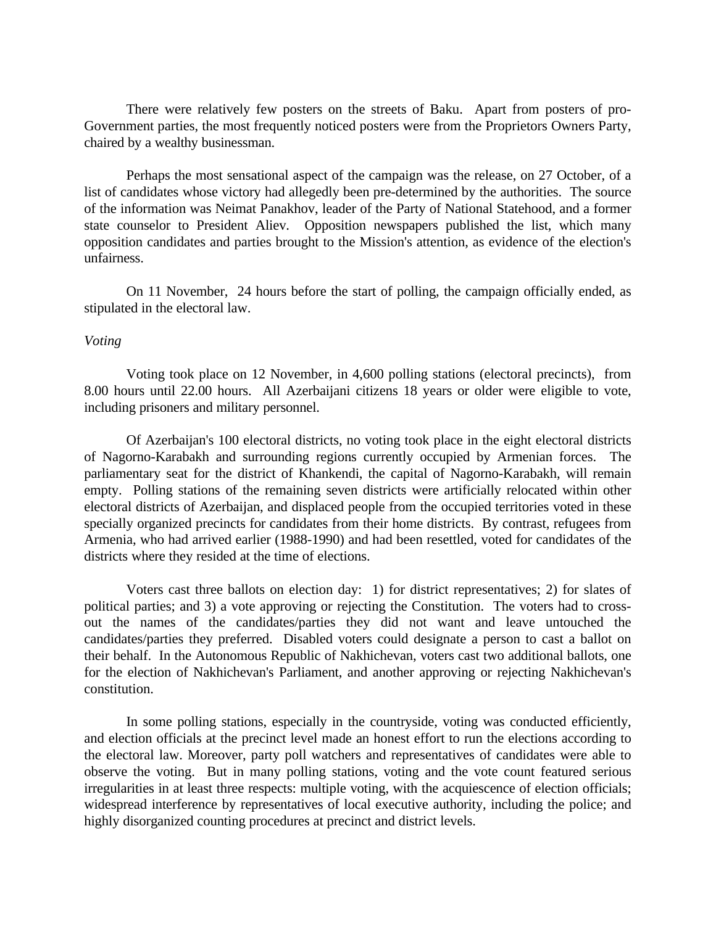There were relatively few posters on the streets of Baku. Apart from posters of pro-Government parties, the most frequently noticed posters were from the Proprietors Owners Party, chaired by a wealthy businessman.

Perhaps the most sensational aspect of the campaign was the release, on 27 October, of a list of candidates whose victory had allegedly been pre-determined by the authorities. The source of the information was Neimat Panakhov, leader of the Party of National Statehood, and a former state counselor to President Aliev. Opposition newspapers published the list, which many opposition candidates and parties brought to the Mission's attention, as evidence of the election's unfairness.

On 11 November, 24 hours before the start of polling, the campaign officially ended, as stipulated in the electoral law.

#### *Voting*

Voting took place on 12 November, in 4,600 polling stations (electoral precincts), from 8.00 hours until 22.00 hours. All Azerbaijani citizens 18 years or older were eligible to vote, including prisoners and military personnel.

Of Azerbaijan's 100 electoral districts, no voting took place in the eight electoral districts of Nagorno-Karabakh and surrounding regions currently occupied by Armenian forces. The parliamentary seat for the district of Khankendi, the capital of Nagorno-Karabakh, will remain empty. Polling stations of the remaining seven districts were artificially relocated within other electoral districts of Azerbaijan, and displaced people from the occupied territories voted in these specially organized precincts for candidates from their home districts. By contrast, refugees from Armenia, who had arrived earlier (1988-1990) and had been resettled, voted for candidates of the districts where they resided at the time of elections.

Voters cast three ballots on election day: 1) for district representatives; 2) for slates of political parties; and 3) a vote approving or rejecting the Constitution. The voters had to crossout the names of the candidates/parties they did not want and leave untouched the candidates/parties they preferred. Disabled voters could designate a person to cast a ballot on their behalf. In the Autonomous Republic of Nakhichevan, voters cast two additional ballots, one for the election of Nakhichevan's Parliament, and another approving or rejecting Nakhichevan's constitution.

In some polling stations, especially in the countryside, voting was conducted efficiently, and election officials at the precinct level made an honest effort to run the elections according to the electoral law. Moreover, party poll watchers and representatives of candidates were able to observe the voting. But in many polling stations, voting and the vote count featured serious irregularities in at least three respects: multiple voting, with the acquiescence of election officials; widespread interference by representatives of local executive authority, including the police; and highly disorganized counting procedures at precinct and district levels.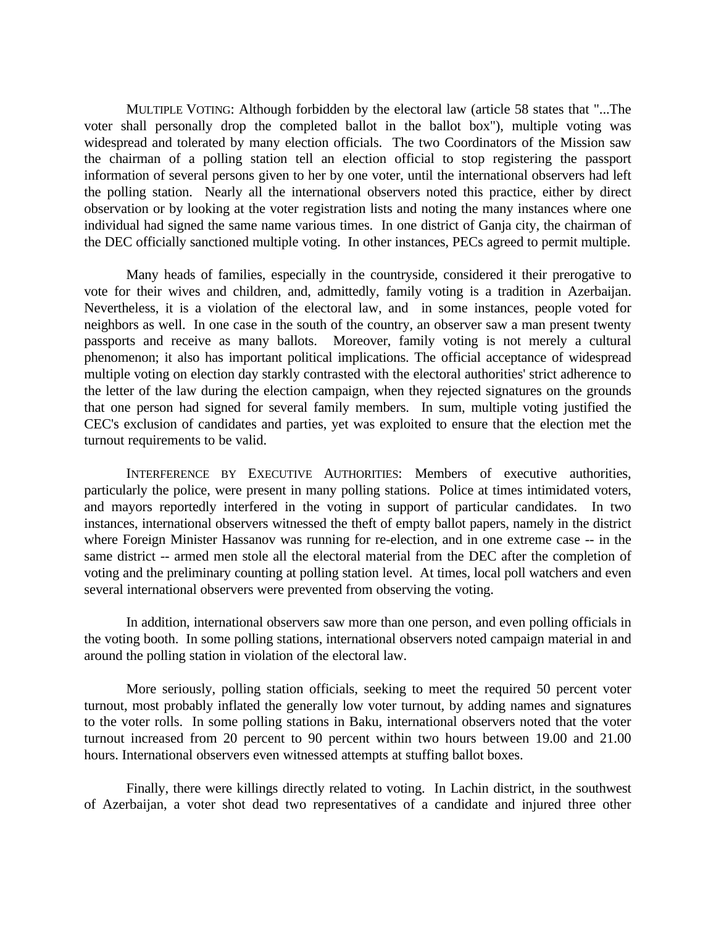MULTIPLE VOTING: Although forbidden by the electoral law (article 58 states that "...The voter shall personally drop the completed ballot in the ballot box"), multiple voting was widespread and tolerated by many election officials. The two Coordinators of the Mission saw the chairman of a polling station tell an election official to stop registering the passport information of several persons given to her by one voter, until the international observers had left the polling station. Nearly all the international observers noted this practice, either by direct observation or by looking at the voter registration lists and noting the many instances where one individual had signed the same name various times. In one district of Ganja city, the chairman of the DEC officially sanctioned multiple voting. In other instances, PECs agreed to permit multiple.

Many heads of families, especially in the countryside, considered it their prerogative to vote for their wives and children, and, admittedly, family voting is a tradition in Azerbaijan. Nevertheless, it is a violation of the electoral law, and in some instances, people voted for neighbors as well. In one case in the south of the country, an observer saw a man present twenty passports and receive as many ballots. Moreover, family voting is not merely a cultural phenomenon; it also has important political implications. The official acceptance of widespread multiple voting on election day starkly contrasted with the electoral authorities' strict adherence to the letter of the law during the election campaign, when they rejected signatures on the grounds that one person had signed for several family members. In sum, multiple voting justified the CEC's exclusion of candidates and parties, yet was exploited to ensure that the election met the turnout requirements to be valid.

INTERFERENCE BY EXECUTIVE AUTHORITIES: Members of executive authorities, particularly the police, were present in many polling stations. Police at times intimidated voters, and mayors reportedly interfered in the voting in support of particular candidates. In two instances, international observers witnessed the theft of empty ballot papers, namely in the district where Foreign Minister Hassanov was running for re-election, and in one extreme case -- in the same district -- armed men stole all the electoral material from the DEC after the completion of voting and the preliminary counting at polling station level. At times, local poll watchers and even several international observers were prevented from observing the voting.

In addition, international observers saw more than one person, and even polling officials in the voting booth. In some polling stations, international observers noted campaign material in and around the polling station in violation of the electoral law.

More seriously, polling station officials, seeking to meet the required 50 percent voter turnout, most probably inflated the generally low voter turnout, by adding names and signatures to the voter rolls. In some polling stations in Baku, international observers noted that the voter turnout increased from 20 percent to 90 percent within two hours between 19.00 and 21.00 hours. International observers even witnessed attempts at stuffing ballot boxes.

Finally, there were killings directly related to voting. In Lachin district, in the southwest of Azerbaijan, a voter shot dead two representatives of a candidate and injured three other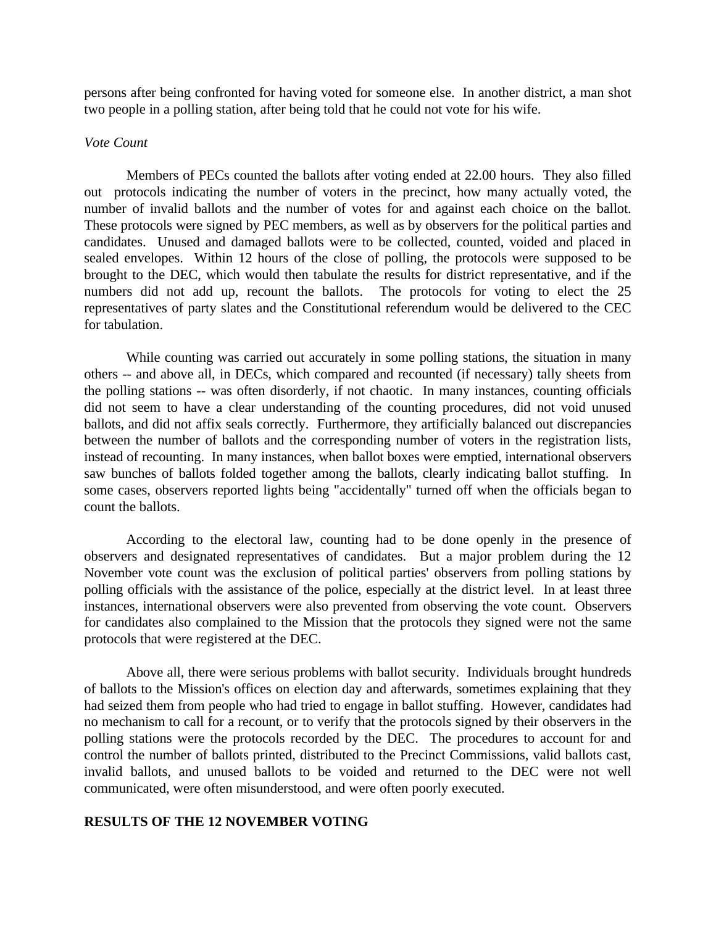persons after being confronted for having voted for someone else. In another district, a man shot two people in a polling station, after being told that he could not vote for his wife.

## *Vote Count*

Members of PECs counted the ballots after voting ended at 22.00 hours. They also filled out protocols indicating the number of voters in the precinct, how many actually voted, the number of invalid ballots and the number of votes for and against each choice on the ballot. These protocols were signed by PEC members, as well as by observers for the political parties and candidates. Unused and damaged ballots were to be collected, counted, voided and placed in sealed envelopes. Within 12 hours of the close of polling, the protocols were supposed to be brought to the DEC, which would then tabulate the results for district representative, and if the numbers did not add up, recount the ballots. The protocols for voting to elect the 25 representatives of party slates and the Constitutional referendum would be delivered to the CEC for tabulation.

While counting was carried out accurately in some polling stations, the situation in many others -- and above all, in DECs, which compared and recounted (if necessary) tally sheets from the polling stations -- was often disorderly, if not chaotic. In many instances, counting officials did not seem to have a clear understanding of the counting procedures, did not void unused ballots, and did not affix seals correctly. Furthermore, they artificially balanced out discrepancies between the number of ballots and the corresponding number of voters in the registration lists, instead of recounting. In many instances, when ballot boxes were emptied, international observers saw bunches of ballots folded together among the ballots, clearly indicating ballot stuffing. In some cases, observers reported lights being "accidentally" turned off when the officials began to count the ballots.

According to the electoral law, counting had to be done openly in the presence of observers and designated representatives of candidates. But a major problem during the 12 November vote count was the exclusion of political parties' observers from polling stations by polling officials with the assistance of the police, especially at the district level. In at least three instances, international observers were also prevented from observing the vote count. Observers for candidates also complained to the Mission that the protocols they signed were not the same protocols that were registered at the DEC.

Above all, there were serious problems with ballot security. Individuals brought hundreds of ballots to the Mission's offices on election day and afterwards, sometimes explaining that they had seized them from people who had tried to engage in ballot stuffing. However, candidates had no mechanism to call for a recount, or to verify that the protocols signed by their observers in the polling stations were the protocols recorded by the DEC. The procedures to account for and control the number of ballots printed, distributed to the Precinct Commissions, valid ballots cast, invalid ballots, and unused ballots to be voided and returned to the DEC were not well communicated, were often misunderstood, and were often poorly executed.

#### **RESULTS OF THE 12 NOVEMBER VOTING**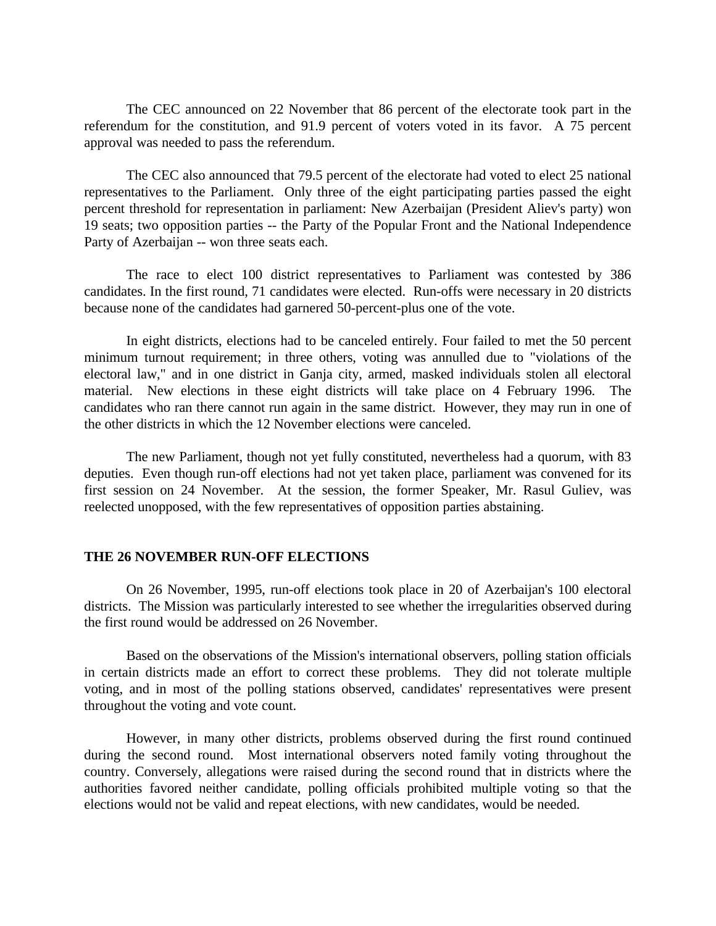The CEC announced on 22 November that 86 percent of the electorate took part in the referendum for the constitution, and 91.9 percent of voters voted in its favor. A 75 percent approval was needed to pass the referendum.

The CEC also announced that 79.5 percent of the electorate had voted to elect 25 national representatives to the Parliament. Only three of the eight participating parties passed the eight percent threshold for representation in parliament: New Azerbaijan (President Aliev's party) won 19 seats; two opposition parties -- the Party of the Popular Front and the National Independence Party of Azerbaijan -- won three seats each.

The race to elect 100 district representatives to Parliament was contested by 386 candidates. In the first round, 71 candidates were elected. Run-offs were necessary in 20 districts because none of the candidates had garnered 50-percent-plus one of the vote.

In eight districts, elections had to be canceled entirely. Four failed to met the 50 percent minimum turnout requirement; in three others, voting was annulled due to "violations of the electoral law," and in one district in Ganja city, armed, masked individuals stolen all electoral material. New elections in these eight districts will take place on 4 February 1996. The candidates who ran there cannot run again in the same district. However, they may run in one of the other districts in which the 12 November elections were canceled.

The new Parliament, though not yet fully constituted, nevertheless had a quorum, with 83 deputies. Even though run-off elections had not yet taken place, parliament was convened for its first session on 24 November. At the session, the former Speaker, Mr. Rasul Guliev, was reelected unopposed, with the few representatives of opposition parties abstaining.

#### **THE 26 NOVEMBER RUN-OFF ELECTIONS**

On 26 November, 1995, run-off elections took place in 20 of Azerbaijan's 100 electoral districts. The Mission was particularly interested to see whether the irregularities observed during the first round would be addressed on 26 November.

Based on the observations of the Mission's international observers, polling station officials in certain districts made an effort to correct these problems. They did not tolerate multiple voting, and in most of the polling stations observed, candidates' representatives were present throughout the voting and vote count.

However, in many other districts, problems observed during the first round continued during the second round. Most international observers noted family voting throughout the country. Conversely, allegations were raised during the second round that in districts where the authorities favored neither candidate, polling officials prohibited multiple voting so that the elections would not be valid and repeat elections, with new candidates, would be needed.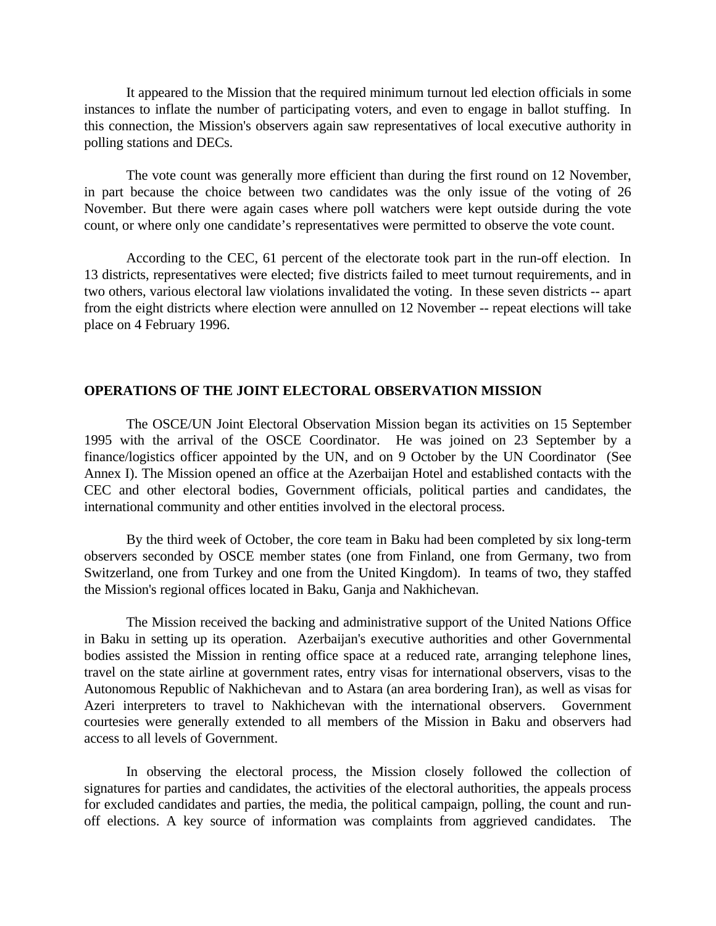It appeared to the Mission that the required minimum turnout led election officials in some instances to inflate the number of participating voters, and even to engage in ballot stuffing. In this connection, the Mission's observers again saw representatives of local executive authority in polling stations and DECs.

The vote count was generally more efficient than during the first round on 12 November, in part because the choice between two candidates was the only issue of the voting of 26 November. But there were again cases where poll watchers were kept outside during the vote count, or where only one candidate's representatives were permitted to observe the vote count.

According to the CEC, 61 percent of the electorate took part in the run-off election. In 13 districts, representatives were elected; five districts failed to meet turnout requirements, and in two others, various electoral law violations invalidated the voting. In these seven districts -- apart from the eight districts where election were annulled on 12 November -- repeat elections will take place on 4 February 1996.

# **OPERATIONS OF THE JOINT ELECTORAL OBSERVATION MISSION**

The OSCE/UN Joint Electoral Observation Mission began its activities on 15 September 1995 with the arrival of the OSCE Coordinator. He was joined on 23 September by a finance/logistics officer appointed by the UN, and on 9 October by the UN Coordinator (See Annex I). The Mission opened an office at the Azerbaijan Hotel and established contacts with the CEC and other electoral bodies, Government officials, political parties and candidates, the international community and other entities involved in the electoral process.

By the third week of October, the core team in Baku had been completed by six long-term observers seconded by OSCE member states (one from Finland, one from Germany, two from Switzerland, one from Turkey and one from the United Kingdom). In teams of two, they staffed the Mission's regional offices located in Baku, Ganja and Nakhichevan.

The Mission received the backing and administrative support of the United Nations Office in Baku in setting up its operation. Azerbaijan's executive authorities and other Governmental bodies assisted the Mission in renting office space at a reduced rate, arranging telephone lines, travel on the state airline at government rates, entry visas for international observers, visas to the Autonomous Republic of Nakhichevan and to Astara (an area bordering Iran), as well as visas for Azeri interpreters to travel to Nakhichevan with the international observers. Government courtesies were generally extended to all members of the Mission in Baku and observers had access to all levels of Government.

In observing the electoral process, the Mission closely followed the collection of signatures for parties and candidates, the activities of the electoral authorities, the appeals process for excluded candidates and parties, the media, the political campaign, polling, the count and runoff elections. A key source of information was complaints from aggrieved candidates. The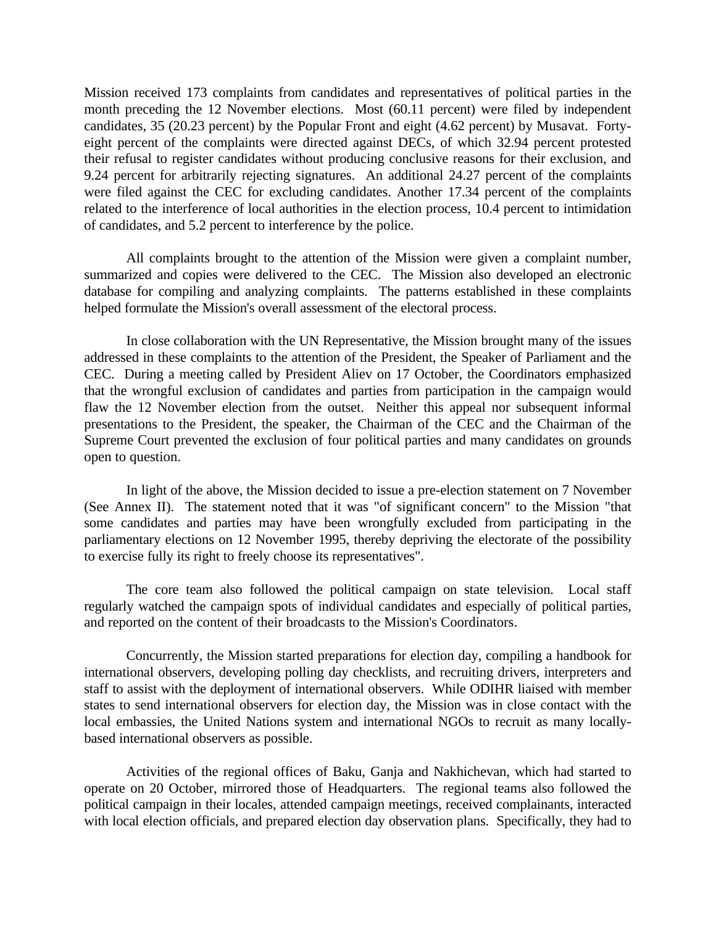Mission received 173 complaints from candidates and representatives of political parties in the month preceding the 12 November elections. Most (60.11 percent) were filed by independent candidates, 35 (20.23 percent) by the Popular Front and eight (4.62 percent) by Musavat. Fortyeight percent of the complaints were directed against DECs, of which 32.94 percent protested their refusal to register candidates without producing conclusive reasons for their exclusion, and 9.24 percent for arbitrarily rejecting signatures. An additional 24.27 percent of the complaints were filed against the CEC for excluding candidates. Another 17.34 percent of the complaints related to the interference of local authorities in the election process, 10.4 percent to intimidation of candidates, and 5.2 percent to interference by the police.

All complaints brought to the attention of the Mission were given a complaint number, summarized and copies were delivered to the CEC. The Mission also developed an electronic database for compiling and analyzing complaints. The patterns established in these complaints helped formulate the Mission's overall assessment of the electoral process.

In close collaboration with the UN Representative, the Mission brought many of the issues addressed in these complaints to the attention of the President, the Speaker of Parliament and the CEC. During a meeting called by President Aliev on 17 October, the Coordinators emphasized that the wrongful exclusion of candidates and parties from participation in the campaign would flaw the 12 November election from the outset. Neither this appeal nor subsequent informal presentations to the President, the speaker, the Chairman of the CEC and the Chairman of the Supreme Court prevented the exclusion of four political parties and many candidates on grounds open to question.

In light of the above, the Mission decided to issue a pre-election statement on 7 November (See Annex II). The statement noted that it was "of significant concern" to the Mission "that some candidates and parties may have been wrongfully excluded from participating in the parliamentary elections on 12 November 1995, thereby depriving the electorate of the possibility to exercise fully its right to freely choose its representatives".

The core team also followed the political campaign on state television. Local staff regularly watched the campaign spots of individual candidates and especially of political parties, and reported on the content of their broadcasts to the Mission's Coordinators.

Concurrently, the Mission started preparations for election day, compiling a handbook for international observers, developing polling day checklists, and recruiting drivers, interpreters and staff to assist with the deployment of international observers. While ODIHR liaised with member states to send international observers for election day, the Mission was in close contact with the local embassies, the United Nations system and international NGOs to recruit as many locallybased international observers as possible.

Activities of the regional offices of Baku, Ganja and Nakhichevan, which had started to operate on 20 October, mirrored those of Headquarters. The regional teams also followed the political campaign in their locales, attended campaign meetings, received complainants, interacted with local election officials, and prepared election day observation plans. Specifically, they had to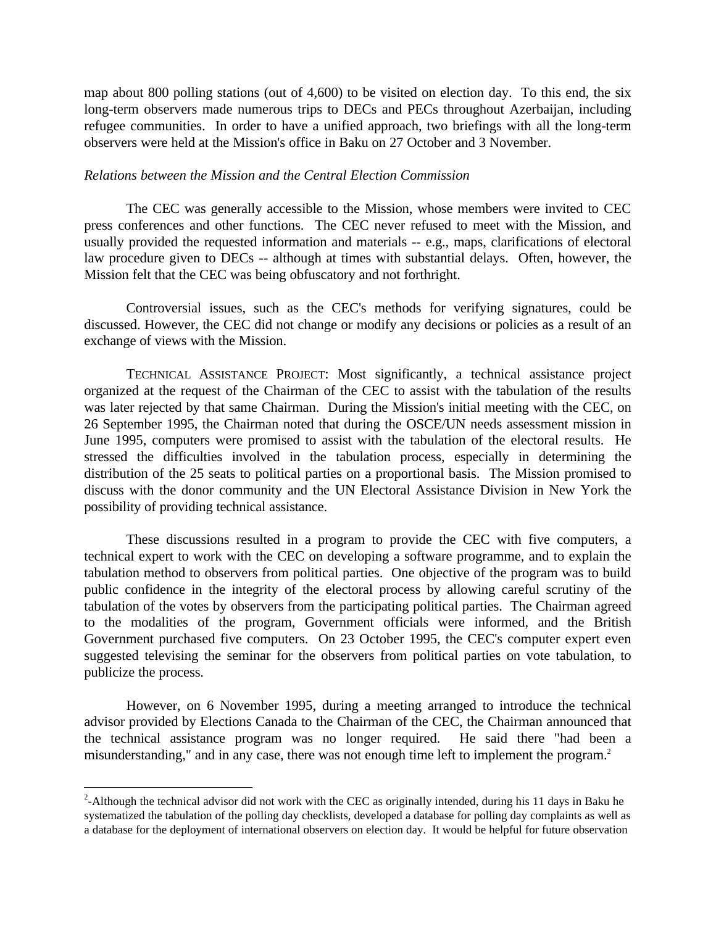map about 800 polling stations (out of 4,600) to be visited on election day. To this end, the six long-term observers made numerous trips to DECs and PECs throughout Azerbaijan, including refugee communities. In order to have a unified approach, two briefings with all the long-term observers were held at the Mission's office in Baku on 27 October and 3 November.

#### *Relations between the Mission and the Central Election Commission*

The CEC was generally accessible to the Mission, whose members were invited to CEC press conferences and other functions. The CEC never refused to meet with the Mission, and usually provided the requested information and materials -- e.g., maps, clarifications of electoral law procedure given to DECs -- although at times with substantial delays. Often, however, the Mission felt that the CEC was being obfuscatory and not forthright.

Controversial issues, such as the CEC's methods for verifying signatures, could be discussed. However, the CEC did not change or modify any decisions or policies as a result of an exchange of views with the Mission.

TECHNICAL ASSISTANCE PROJECT: Most significantly, a technical assistance project organized at the request of the Chairman of the CEC to assist with the tabulation of the results was later rejected by that same Chairman. During the Mission's initial meeting with the CEC, on 26 September 1995, the Chairman noted that during the OSCE/UN needs assessment mission in June 1995, computers were promised to assist with the tabulation of the electoral results. He stressed the difficulties involved in the tabulation process, especially in determining the distribution of the 25 seats to political parties on a proportional basis. The Mission promised to discuss with the donor community and the UN Electoral Assistance Division in New York the possibility of providing technical assistance.

These discussions resulted in a program to provide the CEC with five computers, a technical expert to work with the CEC on developing a software programme, and to explain the tabulation method to observers from political parties. One objective of the program was to build public confidence in the integrity of the electoral process by allowing careful scrutiny of the tabulation of the votes by observers from the participating political parties. The Chairman agreed to the modalities of the program, Government officials were informed, and the British Government purchased five computers. On 23 October 1995, the CEC's computer expert even suggested televising the seminar for the observers from political parties on vote tabulation, to publicize the process.

However, on 6 November 1995, during a meeting arranged to introduce the technical advisor provided by Elections Canada to the Chairman of the CEC, the Chairman announced that the technical assistance program was no longer required. He said there "had been a misunderstanding," and in any case, there was not enough time left to implement the program.<sup>2</sup>

 $\overline{a}$ 

 $2$ -Although the technical advisor did not work with the CEC as originally intended, during his 11 days in Baku he systematized the tabulation of the polling day checklists, developed a database for polling day complaints as well as a database for the deployment of international observers on election day. It would be helpful for future observation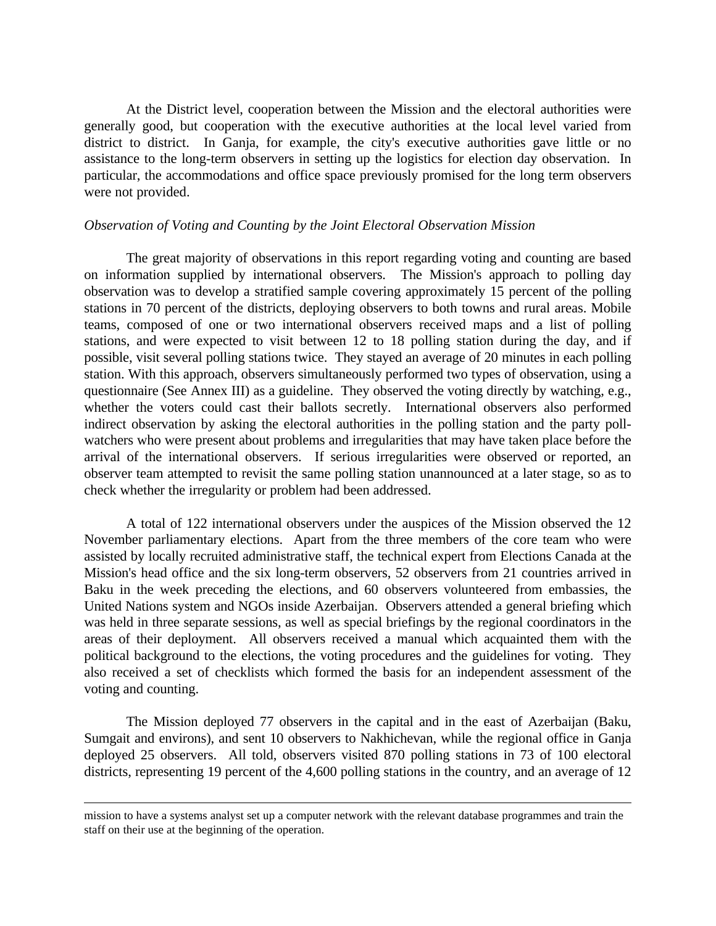At the District level, cooperation between the Mission and the electoral authorities were generally good, but cooperation with the executive authorities at the local level varied from district to district. In Ganja, for example, the city's executive authorities gave little or no assistance to the long-term observers in setting up the logistics for election day observation. In particular, the accommodations and office space previously promised for the long term observers were not provided.

#### *Observation of Voting and Counting by the Joint Electoral Observation Mission*

The great majority of observations in this report regarding voting and counting are based on information supplied by international observers. The Mission's approach to polling day observation was to develop a stratified sample covering approximately 15 percent of the polling stations in 70 percent of the districts, deploying observers to both towns and rural areas. Mobile teams, composed of one or two international observers received maps and a list of polling stations, and were expected to visit between 12 to 18 polling station during the day, and if possible, visit several polling stations twice. They stayed an average of 20 minutes in each polling station. With this approach, observers simultaneously performed two types of observation, using a questionnaire (See Annex III) as a guideline. They observed the voting directly by watching, e.g., whether the voters could cast their ballots secretly. International observers also performed indirect observation by asking the electoral authorities in the polling station and the party pollwatchers who were present about problems and irregularities that may have taken place before the arrival of the international observers. If serious irregularities were observed or reported, an observer team attempted to revisit the same polling station unannounced at a later stage, so as to check whether the irregularity or problem had been addressed.

A total of 122 international observers under the auspices of the Mission observed the 12 November parliamentary elections. Apart from the three members of the core team who were assisted by locally recruited administrative staff, the technical expert from Elections Canada at the Mission's head office and the six long-term observers, 52 observers from 21 countries arrived in Baku in the week preceding the elections, and 60 observers volunteered from embassies, the United Nations system and NGOs inside Azerbaijan. Observers attended a general briefing which was held in three separate sessions, as well as special briefings by the regional coordinators in the areas of their deployment. All observers received a manual which acquainted them with the political background to the elections, the voting procedures and the guidelines for voting. They also received a set of checklists which formed the basis for an independent assessment of the voting and counting.

The Mission deployed 77 observers in the capital and in the east of Azerbaijan (Baku, Sumgait and environs), and sent 10 observers to Nakhichevan, while the regional office in Ganja deployed 25 observers. All told, observers visited 870 polling stations in 73 of 100 electoral districts, representing 19 percent of the 4,600 polling stations in the country, and an average of 12

 $\overline{a}$ 

mission to have a systems analyst set up a computer network with the relevant database programmes and train the staff on their use at the beginning of the operation.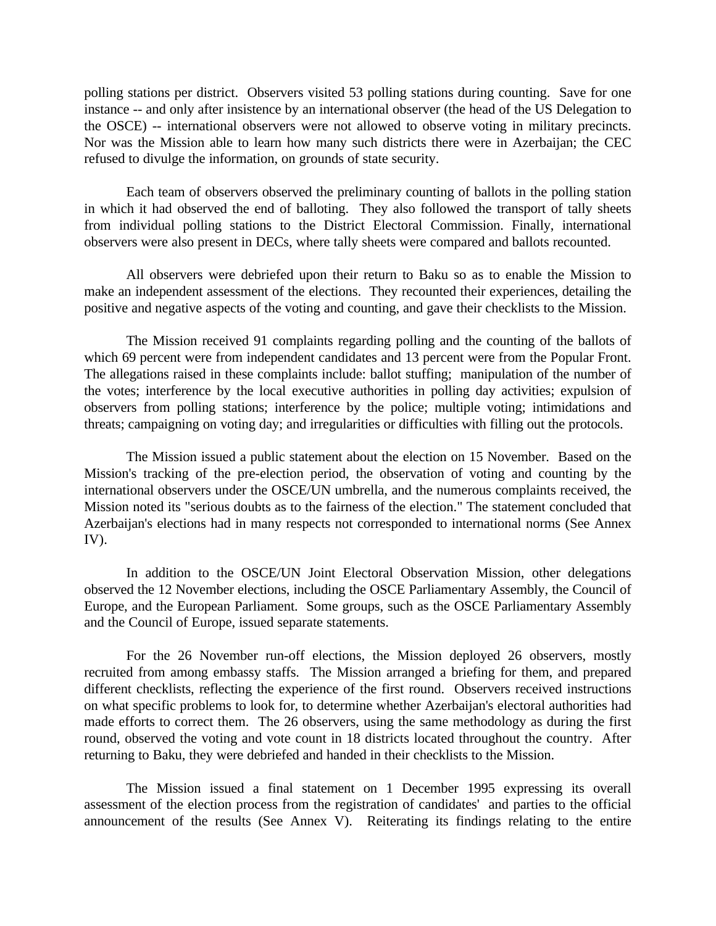polling stations per district. Observers visited 53 polling stations during counting. Save for one instance -- and only after insistence by an international observer (the head of the US Delegation to the OSCE) -- international observers were not allowed to observe voting in military precincts. Nor was the Mission able to learn how many such districts there were in Azerbaijan; the CEC refused to divulge the information, on grounds of state security.

Each team of observers observed the preliminary counting of ballots in the polling station in which it had observed the end of balloting. They also followed the transport of tally sheets from individual polling stations to the District Electoral Commission. Finally, international observers were also present in DECs, where tally sheets were compared and ballots recounted.

All observers were debriefed upon their return to Baku so as to enable the Mission to make an independent assessment of the elections. They recounted their experiences, detailing the positive and negative aspects of the voting and counting, and gave their checklists to the Mission.

The Mission received 91 complaints regarding polling and the counting of the ballots of which 69 percent were from independent candidates and 13 percent were from the Popular Front. The allegations raised in these complaints include: ballot stuffing; manipulation of the number of the votes; interference by the local executive authorities in polling day activities; expulsion of observers from polling stations; interference by the police; multiple voting; intimidations and threats; campaigning on voting day; and irregularities or difficulties with filling out the protocols.

The Mission issued a public statement about the election on 15 November. Based on the Mission's tracking of the pre-election period, the observation of voting and counting by the international observers under the OSCE/UN umbrella, and the numerous complaints received, the Mission noted its "serious doubts as to the fairness of the election." The statement concluded that Azerbaijan's elections had in many respects not corresponded to international norms (See Annex IV).

In addition to the OSCE/UN Joint Electoral Observation Mission, other delegations observed the 12 November elections, including the OSCE Parliamentary Assembly, the Council of Europe, and the European Parliament. Some groups, such as the OSCE Parliamentary Assembly and the Council of Europe, issued separate statements.

For the 26 November run-off elections, the Mission deployed 26 observers, mostly recruited from among embassy staffs. The Mission arranged a briefing for them, and prepared different checklists, reflecting the experience of the first round. Observers received instructions on what specific problems to look for, to determine whether Azerbaijan's electoral authorities had made efforts to correct them. The 26 observers, using the same methodology as during the first round, observed the voting and vote count in 18 districts located throughout the country. After returning to Baku, they were debriefed and handed in their checklists to the Mission.

The Mission issued a final statement on 1 December 1995 expressing its overall assessment of the election process from the registration of candidates' and parties to the official announcement of the results (See Annex V). Reiterating its findings relating to the entire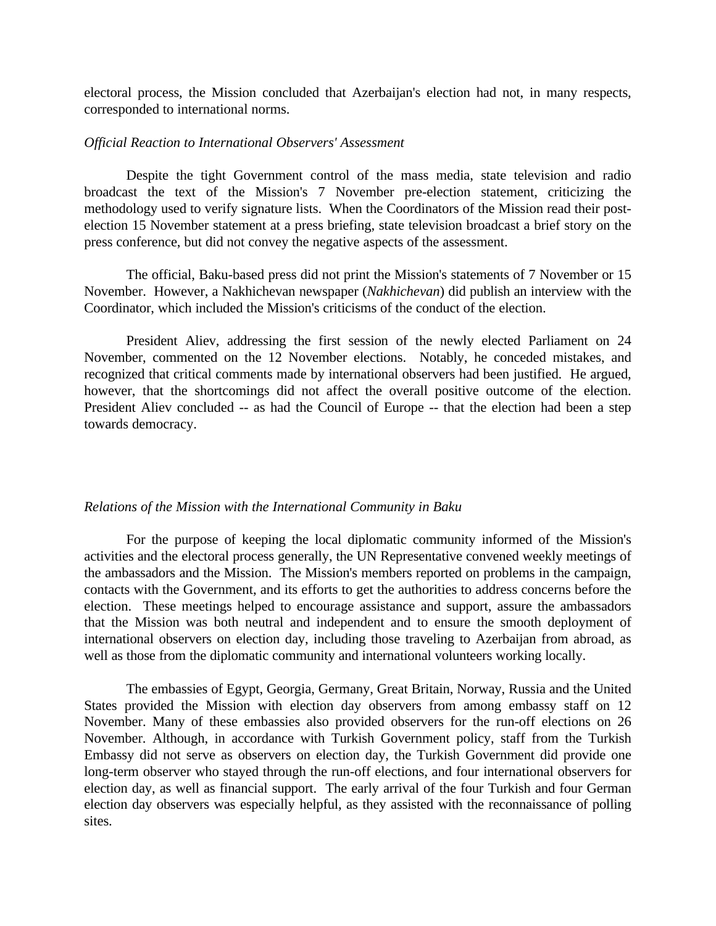electoral process, the Mission concluded that Azerbaijan's election had not, in many respects, corresponded to international norms.

#### *Official Reaction to International Observers' Assessment*

Despite the tight Government control of the mass media, state television and radio broadcast the text of the Mission's 7 November pre-election statement, criticizing the methodology used to verify signature lists. When the Coordinators of the Mission read their postelection 15 November statement at a press briefing, state television broadcast a brief story on the press conference, but did not convey the negative aspects of the assessment.

The official, Baku-based press did not print the Mission's statements of 7 November or 15 November. However, a Nakhichevan newspaper (*Nakhichevan*) did publish an interview with the Coordinator, which included the Mission's criticisms of the conduct of the election.

President Aliev, addressing the first session of the newly elected Parliament on 24 November, commented on the 12 November elections. Notably, he conceded mistakes, and recognized that critical comments made by international observers had been justified. He argued, however, that the shortcomings did not affect the overall positive outcome of the election. President Aliev concluded -- as had the Council of Europe -- that the election had been a step towards democracy.

#### *Relations of the Mission with the International Community in Baku*

For the purpose of keeping the local diplomatic community informed of the Mission's activities and the electoral process generally, the UN Representative convened weekly meetings of the ambassadors and the Mission. The Mission's members reported on problems in the campaign, contacts with the Government, and its efforts to get the authorities to address concerns before the election. These meetings helped to encourage assistance and support, assure the ambassadors that the Mission was both neutral and independent and to ensure the smooth deployment of international observers on election day, including those traveling to Azerbaijan from abroad, as well as those from the diplomatic community and international volunteers working locally.

The embassies of Egypt, Georgia, Germany, Great Britain, Norway, Russia and the United States provided the Mission with election day observers from among embassy staff on 12 November. Many of these embassies also provided observers for the run-off elections on 26 November. Although, in accordance with Turkish Government policy, staff from the Turkish Embassy did not serve as observers on election day, the Turkish Government did provide one long-term observer who stayed through the run-off elections, and four international observers for election day, as well as financial support. The early arrival of the four Turkish and four German election day observers was especially helpful, as they assisted with the reconnaissance of polling sites.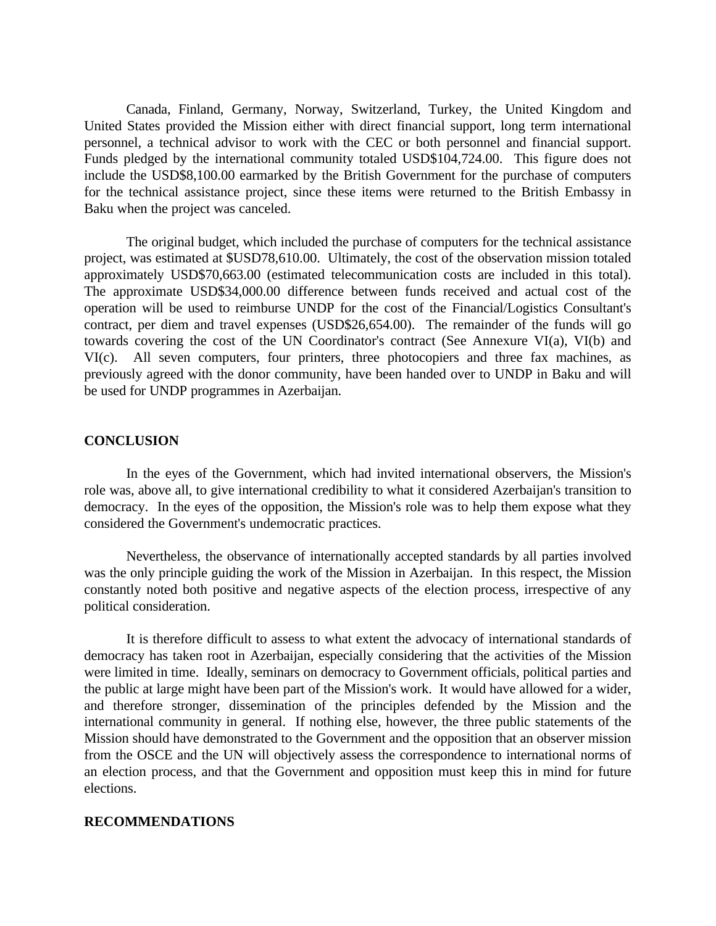Canada, Finland, Germany, Norway, Switzerland, Turkey, the United Kingdom and United States provided the Mission either with direct financial support, long term international personnel, a technical advisor to work with the CEC or both personnel and financial support. Funds pledged by the international community totaled USD\$104,724.00. This figure does not include the USD\$8,100.00 earmarked by the British Government for the purchase of computers for the technical assistance project, since these items were returned to the British Embassy in Baku when the project was canceled.

The original budget, which included the purchase of computers for the technical assistance project, was estimated at \$USD78,610.00. Ultimately, the cost of the observation mission totaled approximately USD\$70,663.00 (estimated telecommunication costs are included in this total). The approximate USD\$34,000.00 difference between funds received and actual cost of the operation will be used to reimburse UNDP for the cost of the Financial/Logistics Consultant's contract, per diem and travel expenses (USD\$26,654.00). The remainder of the funds will go towards covering the cost of the UN Coordinator's contract (See Annexure VI(a), VI(b) and VI(c). All seven computers, four printers, three photocopiers and three fax machines, as previously agreed with the donor community, have been handed over to UNDP in Baku and will be used for UNDP programmes in Azerbaijan.

#### **CONCLUSION**

In the eyes of the Government, which had invited international observers, the Mission's role was, above all, to give international credibility to what it considered Azerbaijan's transition to democracy. In the eyes of the opposition, the Mission's role was to help them expose what they considered the Government's undemocratic practices.

Nevertheless, the observance of internationally accepted standards by all parties involved was the only principle guiding the work of the Mission in Azerbaijan. In this respect, the Mission constantly noted both positive and negative aspects of the election process, irrespective of any political consideration.

It is therefore difficult to assess to what extent the advocacy of international standards of democracy has taken root in Azerbaijan, especially considering that the activities of the Mission were limited in time. Ideally, seminars on democracy to Government officials, political parties and the public at large might have been part of the Mission's work. It would have allowed for a wider, and therefore stronger, dissemination of the principles defended by the Mission and the international community in general. If nothing else, however, the three public statements of the Mission should have demonstrated to the Government and the opposition that an observer mission from the OSCE and the UN will objectively assess the correspondence to international norms of an election process, and that the Government and opposition must keep this in mind for future elections.

#### **RECOMMENDATIONS**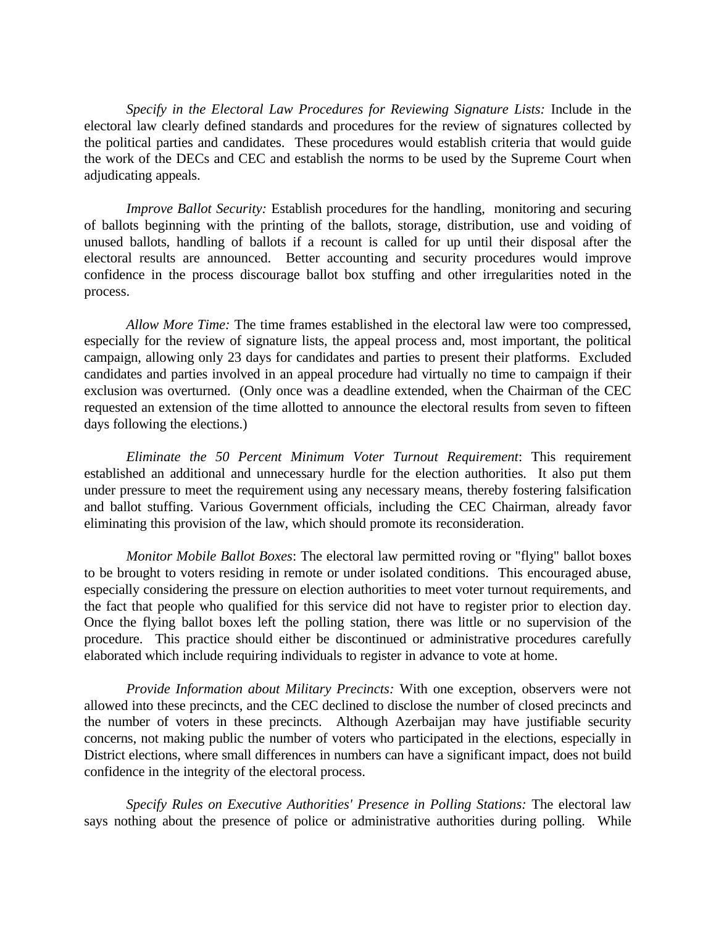*Specify in the Electoral Law Procedures for Reviewing Signature Lists:* Include in the electoral law clearly defined standards and procedures for the review of signatures collected by the political parties and candidates. These procedures would establish criteria that would guide the work of the DECs and CEC and establish the norms to be used by the Supreme Court when adjudicating appeals.

*Improve Ballot Security:* Establish procedures for the handling, monitoring and securing of ballots beginning with the printing of the ballots, storage, distribution, use and voiding of unused ballots, handling of ballots if a recount is called for up until their disposal after the electoral results are announced. Better accounting and security procedures would improve confidence in the process discourage ballot box stuffing and other irregularities noted in the process.

*Allow More Time:* The time frames established in the electoral law were too compressed, especially for the review of signature lists, the appeal process and, most important, the political campaign, allowing only 23 days for candidates and parties to present their platforms. Excluded candidates and parties involved in an appeal procedure had virtually no time to campaign if their exclusion was overturned. (Only once was a deadline extended, when the Chairman of the CEC requested an extension of the time allotted to announce the electoral results from seven to fifteen days following the elections.)

*Eliminate the 50 Percent Minimum Voter Turnout Requirement*: This requirement established an additional and unnecessary hurdle for the election authorities. It also put them under pressure to meet the requirement using any necessary means, thereby fostering falsification and ballot stuffing. Various Government officials, including the CEC Chairman, already favor eliminating this provision of the law, which should promote its reconsideration.

*Monitor Mobile Ballot Boxes*: The electoral law permitted roving or "flying" ballot boxes to be brought to voters residing in remote or under isolated conditions. This encouraged abuse, especially considering the pressure on election authorities to meet voter turnout requirements, and the fact that people who qualified for this service did not have to register prior to election day. Once the flying ballot boxes left the polling station, there was little or no supervision of the procedure. This practice should either be discontinued or administrative procedures carefully elaborated which include requiring individuals to register in advance to vote at home.

*Provide Information about Military Precincts:* With one exception, observers were not allowed into these precincts, and the CEC declined to disclose the number of closed precincts and the number of voters in these precincts. Although Azerbaijan may have justifiable security concerns, not making public the number of voters who participated in the elections, especially in District elections, where small differences in numbers can have a significant impact, does not build confidence in the integrity of the electoral process.

*Specify Rules on Executive Authorities' Presence in Polling Stations:* The electoral law says nothing about the presence of police or administrative authorities during polling. While